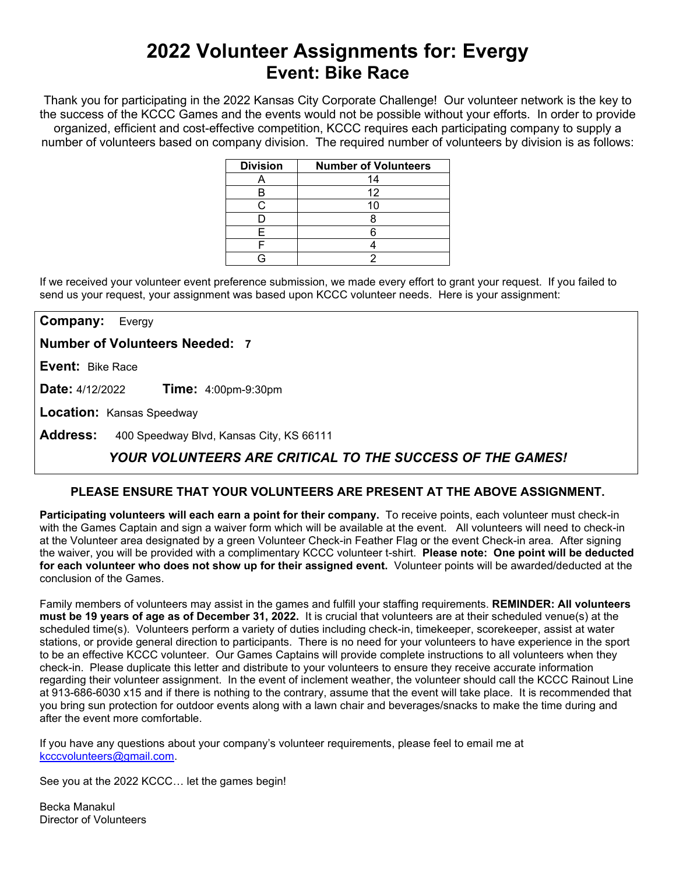# **2022 Volunteer Assignments for: Evergy Event: Bike Race**

Thank you for participating in the 2022 Kansas City Corporate Challenge! Our volunteer network is the key to the success of the KCCC Games and the events would not be possible without your efforts.In order to provide organized, efficient and cost-effective competition, KCCC requires each participating company to supply a number of volunteers based on company division. The required number of volunteers by division is as follows:

| <b>Division</b> | <b>Number of Volunteers</b> |
|-----------------|-----------------------------|
|                 | 14                          |
|                 | 12                          |
|                 |                             |
|                 |                             |
|                 |                             |
|                 |                             |
|                 |                             |

If we received your volunteer event preference submission, we made every effort to grant your request. If you failed to send us your request, your assignment was based upon KCCC volunteer needs. Here is your assignment:

**Company:** Evergy

**Number of Volunteers Needed: 7**

**Event:** Bike Race

**Date:** 4/12/2022 **Time:** 4:00pm-9:30pm

**Location:** Kansas Speedway

**Address:** 400 Speedway Blvd, Kansas City, KS 66111

## *YOUR VOLUNTEERS ARE CRITICAL TO THE SUCCESS OF THE GAMES!*

### **PLEASE ENSURE THAT YOUR VOLUNTEERS ARE PRESENT AT THE ABOVE ASSIGNMENT.**

**Participating volunteers will each earn a point for their company.** To receive points, each volunteer must check-in with the Games Captain and sign a waiver form which will be available at the event. All volunteers will need to check-in at the Volunteer area designated by a green Volunteer Check-in Feather Flag or the event Check-in area. After signing the waiver, you will be provided with a complimentary KCCC volunteer t-shirt. **Please note: One point will be deducted for each volunteer who does not show up for their assigned event.** Volunteer points will be awarded/deducted at the conclusion of the Games.

Family members of volunteers may assist in the games and fulfill your staffing requirements. **REMINDER: All volunteers must be 19 years of age as of December 31, 2022.** It is crucial that volunteers are at their scheduled venue(s) at the scheduled time(s). Volunteers perform a variety of duties including check-in, timekeeper, scorekeeper, assist at water stations, or provide general direction to participants. There is no need for your volunteers to have experience in the sport to be an effective KCCC volunteer. Our Games Captains will provide complete instructions to all volunteers when they check-in. Please duplicate this letter and distribute to your volunteers to ensure they receive accurate information regarding their volunteer assignment. In the event of inclement weather, the volunteer should call the KCCC Rainout Line at 913-686-6030 x15 and if there is nothing to the contrary, assume that the event will take place. It is recommended that you bring sun protection for outdoor events along with a lawn chair and beverages/snacks to make the time during and after the event more comfortable.

If you have any questions about your company's volunteer requirements, please feel to email me at [kcccvolunteers@gmail.com.](mailto:kcccvolunteers@gmail.com)

See you at the 2022 KCCC… let the games begin!

Becka Manakul Director of Volunteers